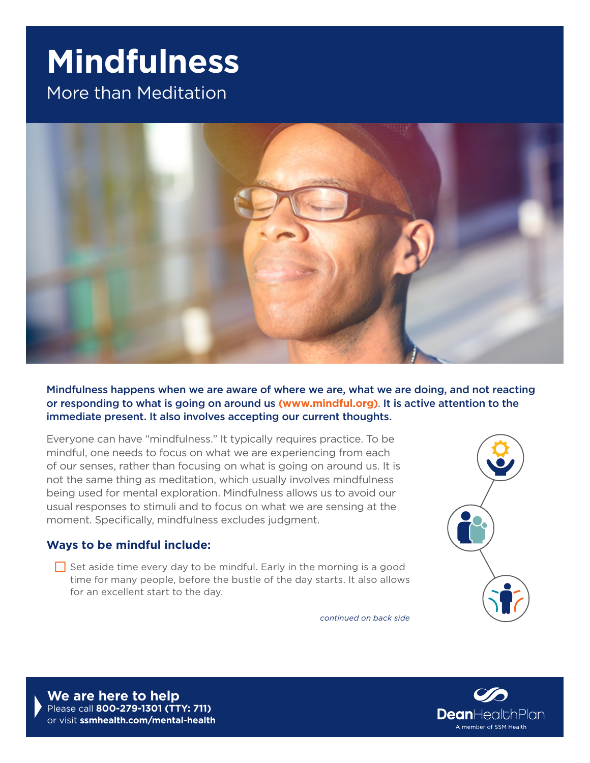## **Mindfulness**

More than Meditation



Mindfulness happens when we are aware of where we are, what we are doing, and not reacting or responding to what is going on around us **[\(www.mindful.org\)](http://www.mindful.org)**. It is active attention to the immediate present. It also involves accepting our current thoughts.

Everyone can have "mindfulness." It typically requires practice. To be mindful, one needs to focus on what we are experiencing from each of our senses, rather than focusing on what is going on around us. It is not the same thing as meditation, which usually involves mindfulness being used for mental exploration. Mindfulness allows us to avoid our usual responses to stimuli and to focus on what we are sensing at the moment. Specifically, mindfulness excludes judgment.

## **Ways to be mindful include:**

 $\Box$  Set aside time every day to be mindful. Early in the morning is a good time for many people, before the bustle of the day starts. It also allows for an excellent start to the day.

*continued on back side*



**We are here to help** Please call **800-279-1301 (TTY: 711)**  or visit **[ssmhealth.com/mental-health](http://ssmhealth.com/mental-health)**